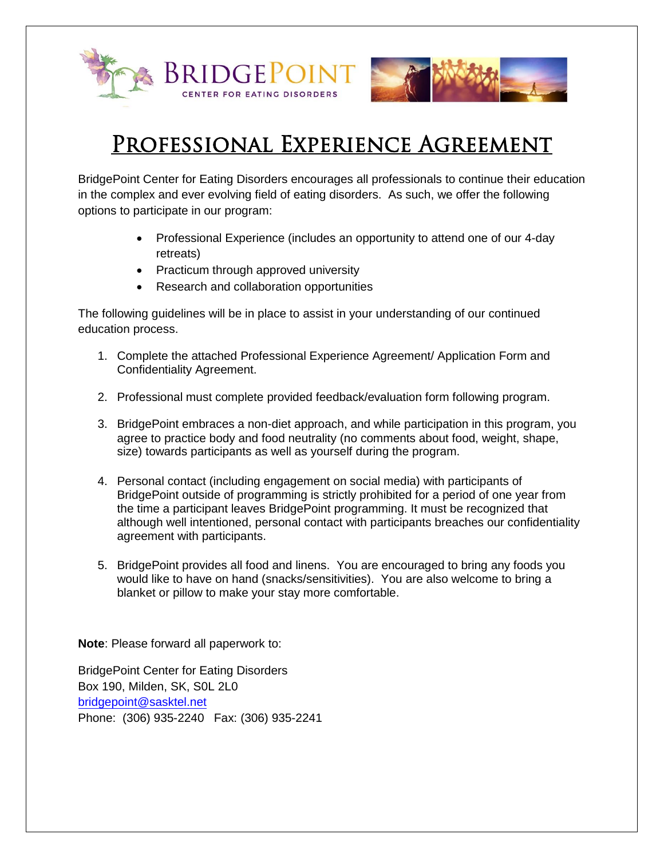

## PROFESSIONAL EXPERIENCE AGREEMENT

BridgePoint Center for Eating Disorders encourages all professionals to continue their education in the complex and ever evolving field of eating disorders. As such, we offer the following options to participate in our program:

- Professional Experience (includes an opportunity to attend one of our 4-day retreats)
- Practicum through approved university
- Research and collaboration opportunities

The following guidelines will be in place to assist in your understanding of our continued education process.

- 1. Complete the attached Professional Experience Agreement/ Application Form and Confidentiality Agreement.
- 2. Professional must complete provided feedback/evaluation form following program.
- 3. BridgePoint embraces a non-diet approach, and while participation in this program, you agree to practice body and food neutrality (no comments about food, weight, shape, size) towards participants as well as yourself during the program.
- 4. Personal contact (including engagement on social media) with participants of BridgePoint outside of programming is strictly prohibited for a period of one year from the time a participant leaves BridgePoint programming. It must be recognized that although well intentioned, personal contact with participants breaches our confidentiality agreement with participants.
- 5. BridgePoint provides all food and linens. You are encouraged to bring any foods you would like to have on hand (snacks/sensitivities). You are also welcome to bring a blanket or pillow to make your stay more comfortable.

**Note**: Please forward all paperwork to:

BridgePoint Center for Eating Disorders Box 190, Milden, SK, S0L 2L0 [bridgepoint@sasktel.net](mailto:bridgepointcenter@sasktel.net) Phone: (306) 935-2240 Fax: (306) 935-2241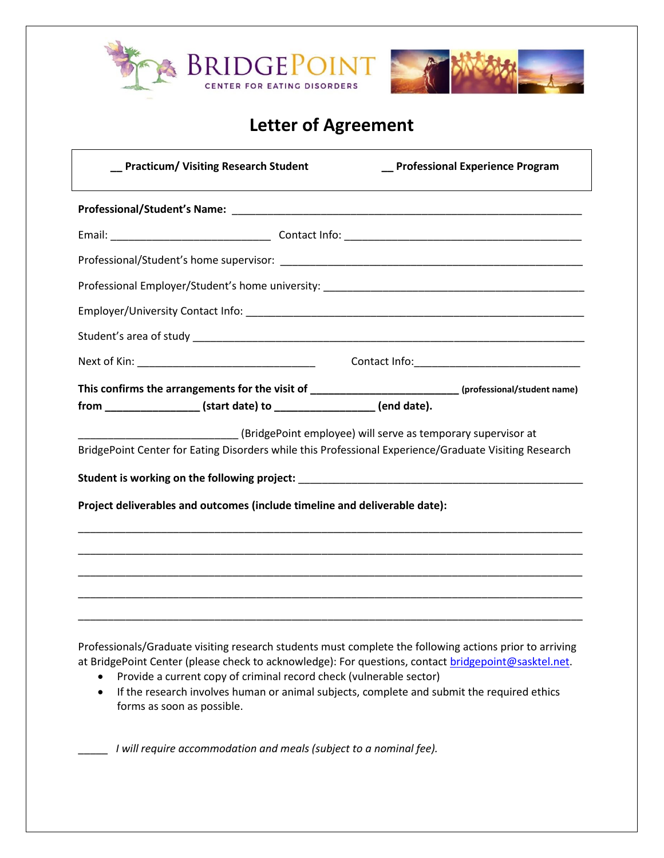| BRIDGEPOINT<br>CENTER FOR EATING DISORDERS                                                                                                                                                                                                          |                                   |
|-----------------------------------------------------------------------------------------------------------------------------------------------------------------------------------------------------------------------------------------------------|-----------------------------------|
| <b>Letter of Agreement</b>                                                                                                                                                                                                                          |                                   |
| <b>Practicum/ Visiting Research Student</b>                                                                                                                                                                                                         | _ Professional Experience Program |
|                                                                                                                                                                                                                                                     |                                   |
|                                                                                                                                                                                                                                                     |                                   |
|                                                                                                                                                                                                                                                     |                                   |
|                                                                                                                                                                                                                                                     |                                   |
|                                                                                                                                                                                                                                                     |                                   |
|                                                                                                                                                                                                                                                     |                                   |
|                                                                                                                                                                                                                                                     |                                   |
| This confirms the arrangements for the visit of __________________________(professional/student name)<br>from ___________________(start date) to ____________________ (end date).                                                                   |                                   |
| (BridgePoint employee) will serve as temporary supervisor at<br>BridgePoint Center for Eating Disorders while this Professional Experience/Graduate Visiting Research<br>Project deliverables and outcomes (include timeline and deliverable date): |                                   |
|                                                                                                                                                                                                                                                     |                                   |

Professionals/Graduate visiting research students must complete the following actions prior to arriving at BridgePoint Center (please check to acknowledge): For questions, contact [bridgepoint@sasktel.net.](mailto:bridgepoint@sasktel.net)

- Provide a current copy of criminal record check (vulnerable sector)
- If the research involves human or animal subjects, complete and submit the required ethics forms as soon as possible.

\_\_\_\_\_ *I will require accommodation and meals (subject to a nominal fee).*